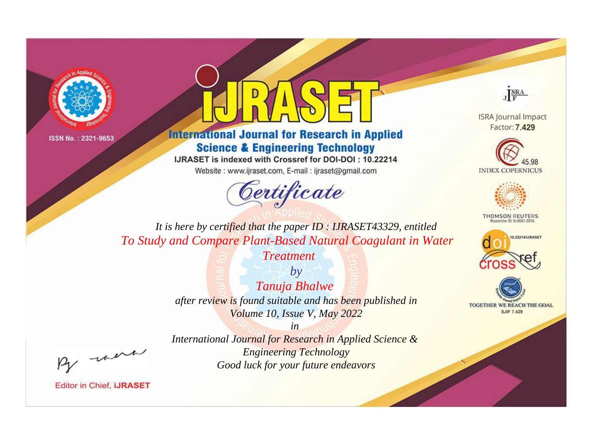



**International Journal for Research in Applied Science & Engineering Technology** 

IJRASET is indexed with Crossref for DOI-DOI: 10.22214

Website: www.ijraset.com, E-mail: ijraset@gmail.com





**ISRA Journal Impact** Factor: 7.429





**THOMSON REUTERS** 



TOGETHER WE REACH THE GOAL **SJIF 7.429** 

*It is here by certified that the paper ID : IJRASET43329, entitled To Study and Compare Plant-Based Natural Coagulant in Water* 

*Treatment*

*by Tanuja Bhalwe after review is found suitable and has been published in Volume 10, Issue V, May 2022*

, un

*International Journal for Research in Applied Science & Engineering Technology Good luck for your future endeavors*

*in*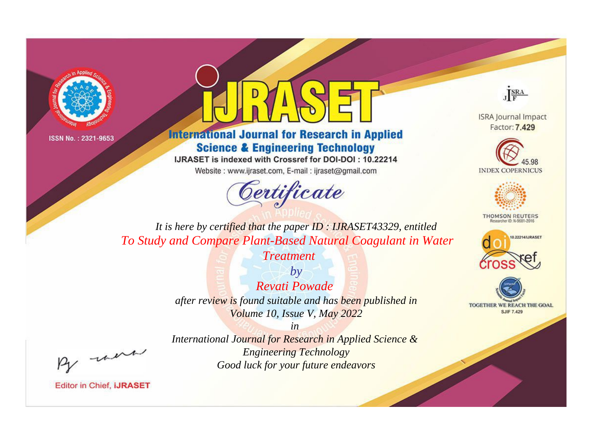



**International Journal for Research in Applied Science & Engineering Technology** 

IJRASET is indexed with Crossref for DOI-DOI: 10.22214

Website: www.ijraset.com, E-mail: ijraset@gmail.com





**ISRA Journal Impact** Factor: 7.429





**THOMSON REUTERS** 



TOGETHER WE REACH THE GOAL **SJIF 7.429** 

*It is here by certified that the paper ID : IJRASET43329, entitled To Study and Compare Plant-Based Natural Coagulant in Water* 

*Treatment*

*by Revati Powade after review is found suitable and has been published in Volume 10, Issue V, May 2022*

, un

*International Journal for Research in Applied Science & Engineering Technology Good luck for your future endeavors*

*in*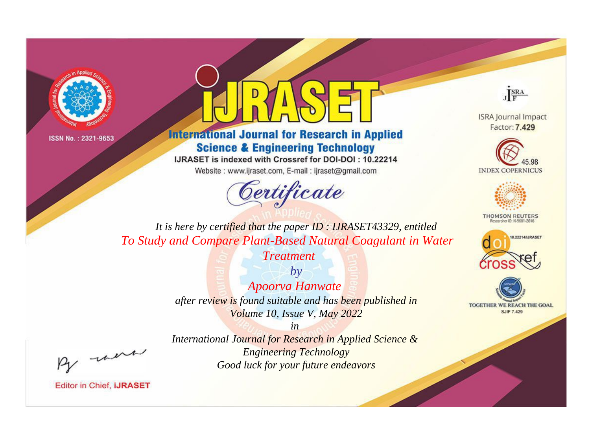



**International Journal for Research in Applied Science & Engineering Technology** 

IJRASET is indexed with Crossref for DOI-DOI: 10.22214

Website: www.ijraset.com, E-mail: ijraset@gmail.com





**ISRA Journal Impact** Factor: 7.429





**THOMSON REUTERS** 



TOGETHER WE REACH THE GOAL **SJIF 7.429** 

*It is here by certified that the paper ID : IJRASET43329, entitled To Study and Compare Plant-Based Natural Coagulant in Water* 

*Treatment*

*by Apoorva Hanwate after review is found suitable and has been published in Volume 10, Issue V, May 2022*

, un

*International Journal for Research in Applied Science & Engineering Technology Good luck for your future endeavors*

*in*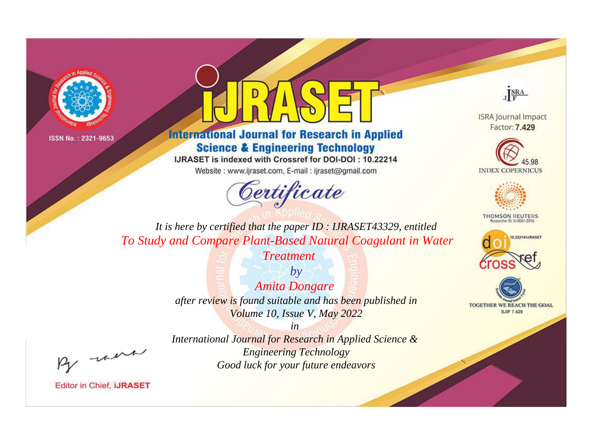



**International Journal for Research in Applied Science & Engineering Technology** 

IJRASET is indexed with Crossref for DOI-DOI: 10.22214

Website: www.ijraset.com, E-mail: ijraset@gmail.com





**ISRA Journal Impact** Factor: 7.429





**THOMSON REUTERS** 



TOGETHER WE REACH THE GOAL **SJIF 7.429** 

*It is here by certified that the paper ID : IJRASET43329, entitled To Study and Compare Plant-Based Natural Coagulant in Water* 

*Treatment*

*by Amita Dongare after review is found suitable and has been published in Volume 10, Issue V, May 2022*

, un

*International Journal for Research in Applied Science & Engineering Technology Good luck for your future endeavors*

*in*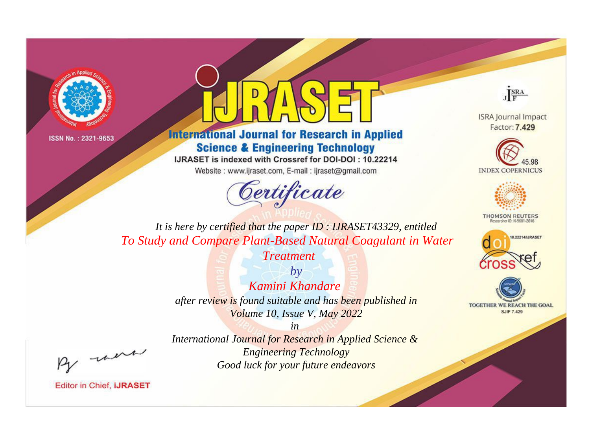



**International Journal for Research in Applied Science & Engineering Technology** 

IJRASET is indexed with Crossref for DOI-DOI: 10.22214

Website: www.ijraset.com, E-mail: ijraset@gmail.com





**ISRA Journal Impact** Factor: 7.429





**THOMSON REUTERS** 



TOGETHER WE REACH THE GOAL **SJIF 7.429** 

*It is here by certified that the paper ID : IJRASET43329, entitled To Study and Compare Plant-Based Natural Coagulant in Water* 

*Treatment*

*by Kamini Khandare after review is found suitable and has been published in Volume 10, Issue V, May 2022*

, un

*International Journal for Research in Applied Science & Engineering Technology Good luck for your future endeavors*

*in*